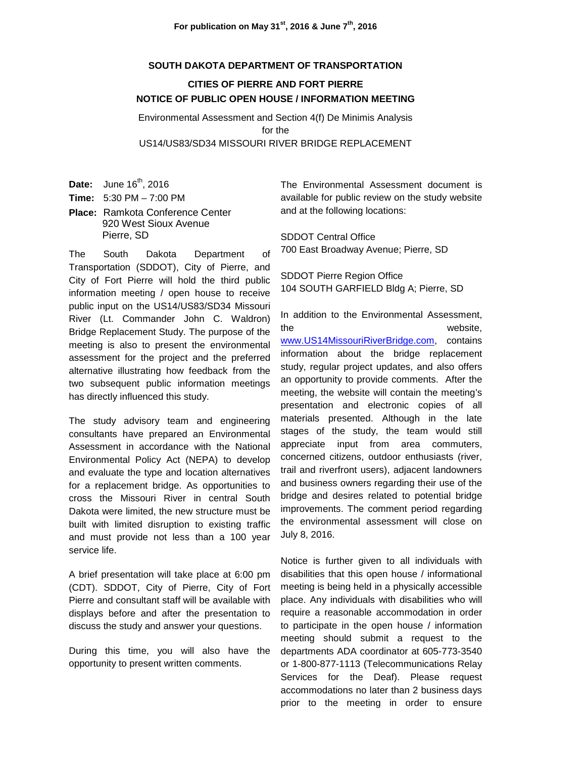## **SOUTH DAKOTA DEPARTMENT OF TRANSPORTATION**

## **CITIES OF PIERRE AND FORT PIERRE NOTICE OF PUBLIC OPEN HOUSE / INFORMATION MEETING**

Environmental Assessment and Section 4(f) De Minimis Analysis for the US14/US83/SD34 MISSOURI RIVER BRIDGE REPLACEMENT

**Date:** June 16<sup>th</sup>, 2016

**Time:** 5:30 PM – 7:00 PM

**Place:** Ramkota Conference Center 920 West Sioux Avenue Pierre, SD

The South Dakota Department of Transportation (SDDOT), City of Pierre, and City of Fort Pierre will hold the third public information meeting / open house to receive public input on the US14/US83/SD34 Missouri River (Lt. Commander John C. Waldron) Bridge Replacement Study. The purpose of the meeting is also to present the environmental assessment for the project and the preferred alternative illustrating how feedback from the two subsequent public information meetings has directly influenced this study.

The study advisory team and engineering consultants have prepared an Environmental Assessment in accordance with the National Environmental Policy Act (NEPA) to develop and evaluate the type and location alternatives for a replacement bridge. As opportunities to cross the Missouri River in central South Dakota were limited, the new structure must be built with limited disruption to existing traffic and must provide not less than a 100 year service life.

A brief presentation will take place at 6:00 pm (CDT). SDDOT, City of Pierre, City of Fort Pierre and consultant staff will be available with displays before and after the presentation to discuss the study and answer your questions.

During this time, you will also have the opportunity to present written comments.

The Environmental Assessment document is available for public review on the study website and at the following locations:

SDDOT Central Office 700 East Broadway Avenue; Pierre, SD

SDDOT Pierre Region Office 104 SOUTH GARFIELD Bldg A; Pierre, SD

In addition to the Environmental Assessment, the website, [www.US14MissouriRiverBridge.com,](http://www.us14missouririverbridge.com/) contains information about the bridge replacement study, regular project updates, and also offers an opportunity to provide comments. After the meeting, the website will contain the meeting's presentation and electronic copies of all materials presented. Although in the late stages of the study, the team would still appreciate input from area commuters, concerned citizens, outdoor enthusiasts (river, trail and riverfront users), adjacent landowners and business owners regarding their use of the bridge and desires related to potential bridge improvements. The comment period regarding the environmental assessment will close on July 8, 2016.

Notice is further given to all individuals with disabilities that this open house / informational meeting is being held in a physically accessible place. Any individuals with disabilities who will require a reasonable accommodation in order to participate in the open house / information meeting should submit a request to the departments ADA coordinator at 605-773-3540 or 1-800-877-1113 (Telecommunications Relay Services for the Deaf). Please request accommodations no later than 2 business days prior to the meeting in order to ensure